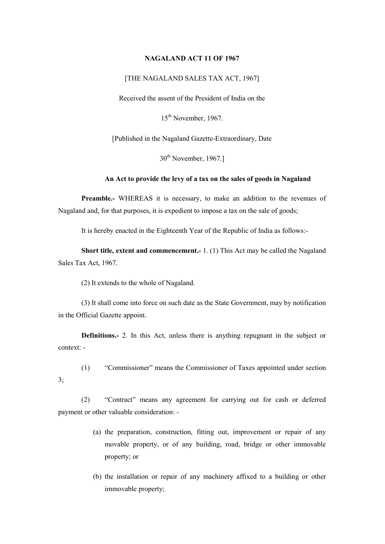### NAGALAND ACT 11 OF 1967

## [THE NAGALAND SALES TAX ACT, 1967]

Received the assent of the President of India on the

15th November, 1967.

[Published in the Nagaland Gazette-Extraordinary, Date

 $30<sup>th</sup>$  November, 1967.]

## An Act to provide the levy of a tax on the sales of goods in Nagaland

Preamble.- WHEREAS it is necessary, to make an addition to the revenues of Nagaland and, for that purposes, it is expedient to impose a tax on the sale of goods;

It is hereby enacted in the Eighteenth Year of the Republic of India as follows:-

Short title, extent and commencement.- 1. (1) This Act may be called the Nagaland Sales Tax Act, 1967.

(2) It extends to the whole of Nagaland.

3;

(3) It shall come into force on such date as the State Government, may by notification in the Official Gazette appoint.

Definitions.- 2. In this Act, unless there is anything repugnant in the subject or context: -

(1) "Commissioner" means the Commissioner of Taxes appointed under section

(2) "Contract" means any agreement for carrying out for cash or deferred payment or other valuable consideration: -

- (a) the preparation, construction, fitting out, improvement or repair of any movable property, or of any building, road, bridge or other immovable property; or
- (b) the installation or repair of any machinery affixed to a building or other immovable property;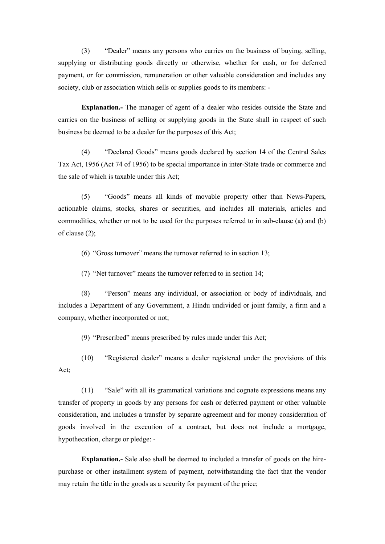(3) "Dealer" means any persons who carries on the business of buying, selling, supplying or distributing goods directly or otherwise, whether for cash, or for deferred payment, or for commission, remuneration or other valuable consideration and includes any society, club or association which sells or supplies goods to its members: -

Explanation.- The manager of agent of a dealer who resides outside the State and carries on the business of selling or supplying goods in the State shall in respect of such business be deemed to be a dealer for the purposes of this Act;

(4) "Declared Goods" means goods declared by section 14 of the Central Sales Tax Act, 1956 (Act 74 of 1956) to be special importance in inter-State trade or commerce and the sale of which is taxable under this Act;

(5) "Goods" means all kinds of movable property other than News-Papers, actionable claims, stocks, shares or securities, and includes all materials, articles and commodities, whether or not to be used for the purposes referred to in sub-clause (a) and (b) of clause (2);

(6) "Gross turnover" means the turnover referred to in section 13;

(7) "Net turnover" means the turnover referred to in section 14;

(8) "Person" means any individual, or association or body of individuals, and includes a Department of any Government, a Hindu undivided or joint family, a firm and a company, whether incorporated or not;

(9) "Prescribed" means prescribed by rules made under this Act;

(10) "Registered dealer" means a dealer registered under the provisions of this Act;

(11) "Sale" with all its grammatical variations and cognate expressions means any transfer of property in goods by any persons for cash or deferred payment or other valuable consideration, and includes a transfer by separate agreement and for money consideration of goods involved in the execution of a contract, but does not include a mortgage, hypothecation, charge or pledge: -

Explanation.- Sale also shall be deemed to included a transfer of goods on the hirepurchase or other installment system of payment, notwithstanding the fact that the vendor may retain the title in the goods as a security for payment of the price;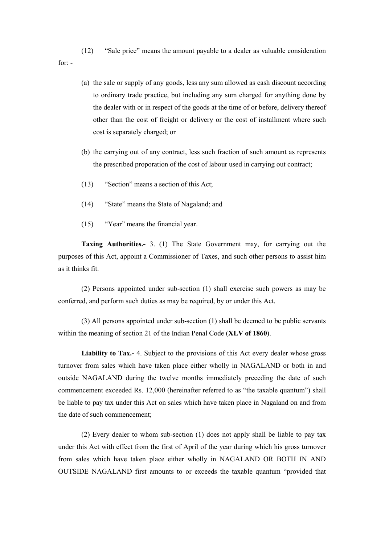(12) "Sale price" means the amount payable to a dealer as valuable consideration for: -

- (a) the sale or supply of any goods, less any sum allowed as cash discount according to ordinary trade practice, but including any sum charged for anything done by the dealer with or in respect of the goods at the time of or before, delivery thereof other than the cost of freight or delivery or the cost of installment where such cost is separately charged; or
- (b) the carrying out of any contract, less such fraction of such amount as represents the prescribed proporation of the cost of labour used in carrying out contract;
- (13) "Section" means a section of this Act;
- (14) "State" means the State of Nagaland; and
- (15) "Year" means the financial year.

Taxing Authorities.- 3. (1) The State Government may, for carrying out the purposes of this Act, appoint a Commissioner of Taxes, and such other persons to assist him as it thinks fit.

(2) Persons appointed under sub-section (1) shall exercise such powers as may be conferred, and perform such duties as may be required, by or under this Act.

(3) All persons appointed under sub-section (1) shall be deemed to be public servants within the meaning of section 21 of the Indian Penal Code (**XLV** of 1860).

Liability to Tax.- 4. Subject to the provisions of this Act every dealer whose gross turnover from sales which have taken place either wholly in NAGALAND or both in and outside NAGALAND during the twelve months immediately preceding the date of such commencement exceeded Rs. 12,000 (hereinafter referred to as "the taxable quantum") shall be liable to pay tax under this Act on sales which have taken place in Nagaland on and from the date of such commencement;

(2) Every dealer to whom sub-section (1) does not apply shall be liable to pay tax under this Act with effect from the first of April of the year during which his gross turnover from sales which have taken place either wholly in NAGALAND OR BOTH IN AND OUTSIDE NAGALAND first amounts to or exceeds the taxable quantum "provided that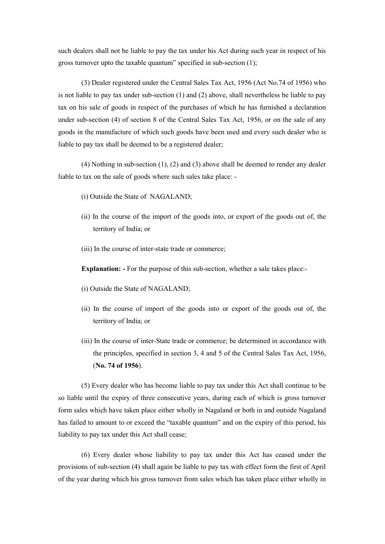such dealers shall not be liable to pay the tax under his Act during such year in respect of his gross turnover upto the taxable quantum" specified in sub-section (1);

(3) Dealer registered under the Central Sales Tax Act, 1956 (Act No.74 of 1956) who is not liable to pay tax under sub-section (1) and (2) above, shall nevertheless be liable to pay tax on his sale of goods in respect of the purchases of which he has furnished a declaration under sub-section (4) of section 8 of the Central Sales Tax Act, 1956, or on the sale of any goods in the manufacture of which such goods have been used and every such dealer who is liable to pay tax shall be deemed to be a registered dealer;

(4) Nothing in sub-section (1), (2) and (3) above shall be deemed to render any dealer liable to tax on the sale of goods where such sales take place: -

- (i) Outside the State of NAGALAND;
- (ii) In the course of the import of the goods into, or export of the goods out of, the territory of India; or
- (iii) In the course of inter-state trade or commerce;

Explanation: - For the purpose of this sub-section, whether a sale takes place:-

- (i) Outside the State of NAGALAND;
- (ii) In the course of import of the goods into or export of the goods out of, the territory of India; or
- (iii) In the course of inter-State trade or commerce; be determined in accordance with the principles, specified in section 3, 4 and 5 of the Central Sales Tax Act, 1956, (No. 74 of 1956).

(5) Every dealer who has become liable to pay tax under this Act shall continue to be so liable until the expiry of three consecutive years, during each of which is gross turnover form sales which have taken place either wholly in Nagaland or both in and outside Nagaland has failed to amount to or exceed the "taxable quantum" and on the expiry of this period, his liability to pay tax under this Act shall cease;

(6) Every dealer whose liability to pay tax under this Act has ceased under the provisions of sub-section (4) shall again be liable to pay tax with effect form the first of April of the year during which his gross turnover from sales which has taken place either wholly in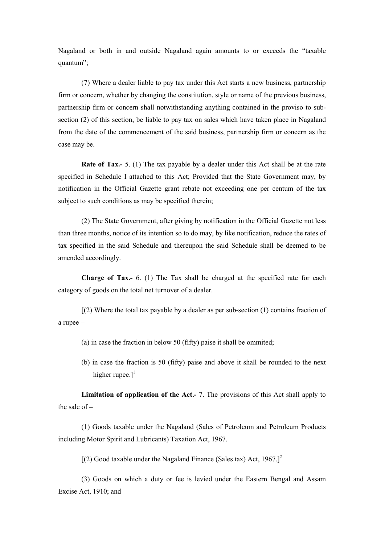Nagaland or both in and outside Nagaland again amounts to or exceeds the "taxable quantum";

(7) Where a dealer liable to pay tax under this Act starts a new business, partnership firm or concern, whether by changing the constitution, style or name of the previous business, partnership firm or concern shall notwithstanding anything contained in the proviso to subsection (2) of this section, be liable to pay tax on sales which have taken place in Nagaland from the date of the commencement of the said business, partnership firm or concern as the case may be.

Rate of Tax.- 5. (1) The tax payable by a dealer under this Act shall be at the rate specified in Schedule I attached to this Act; Provided that the State Government may, by notification in the Official Gazette grant rebate not exceeding one per centum of the tax subject to such conditions as may be specified therein;

(2) The State Government, after giving by notification in the Official Gazette not less than three months, notice of its intention so to do may, by like notification, reduce the rates of tax specified in the said Schedule and thereupon the said Schedule shall be deemed to be amended accordingly.

Charge of Tax.- 6. (1) The Tax shall be charged at the specified rate for each category of goods on the total net turnover of a dealer.

 $(2)$  Where the total tax payable by a dealer as per sub-section  $(1)$  contains fraction of a rupee –

- (a) in case the fraction in below 50 (fifty) paise it shall be ommited;
- (b) in case the fraction is 50 (fifty) paise and above it shall be rounded to the next higher rupee. $]$ <sup>1</sup>

Limitation of application of the Act.- 7. The provisions of this Act shall apply to the sale of –

(1) Goods taxable under the Nagaland (Sales of Petroleum and Petroleum Products including Motor Spirit and Lubricants) Taxation Act, 1967.

 $[(2)$  Good taxable under the Nagaland Finance (Sales tax) Act, 1967.]<sup>2</sup>

(3) Goods on which a duty or fee is levied under the Eastern Bengal and Assam Excise Act, 1910; and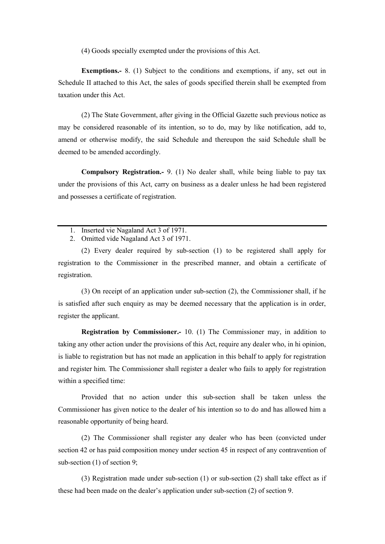(4) Goods specially exempted under the provisions of this Act.

Exemptions.- 8. (1) Subject to the conditions and exemptions, if any, set out in Schedule II attached to this Act, the sales of goods specified therein shall be exempted from taxation under this Act.

(2) The State Government, after giving in the Official Gazette such previous notice as may be considered reasonable of its intention, so to do, may by like notification, add to, amend or otherwise modify, the said Schedule and thereupon the said Schedule shall be deemed to be amended accordingly.

Compulsory Registration.- 9. (1) No dealer shall, while being liable to pay tax under the provisions of this Act, carry on business as a dealer unless he had been registered and possesses a certificate of registration.

- 1. Inserted vie Nagaland Act 3 of 1971.
- 2. Omitted vide Nagaland Act 3 of 1971.

(2) Every dealer required by sub-section (1) to be registered shall apply for registration to the Commissioner in the prescribed manner, and obtain a certificate of registration.

(3) On receipt of an application under sub-section (2), the Commissioner shall, if he is satisfied after such enquiry as may be deemed necessary that the application is in order, register the applicant.

Registration by Commissioner.- 10. (1) The Commissioner may, in addition to taking any other action under the provisions of this Act, require any dealer who, in hi opinion, is liable to registration but has not made an application in this behalf to apply for registration and register him. The Commissioner shall register a dealer who fails to apply for registration within a specified time:

Provided that no action under this sub-section shall be taken unless the Commissioner has given notice to the dealer of his intention so to do and has allowed him a reasonable opportunity of being heard.

(2) The Commissioner shall register any dealer who has been (convicted under section 42 or has paid composition money under section 45 in respect of any contravention of sub-section (1) of section 9;

(3) Registration made under sub-section (1) or sub-section (2) shall take effect as if these had been made on the dealer's application under sub-section (2) of section 9.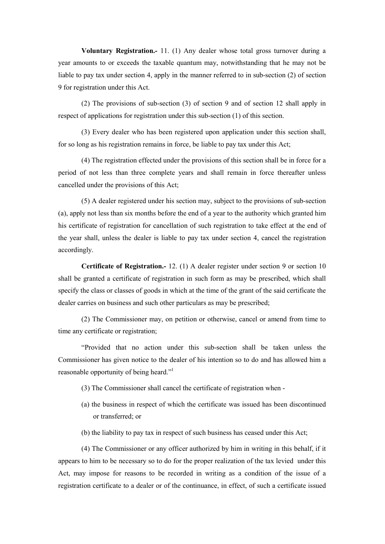Voluntary Registration.- 11. (1) Any dealer whose total gross turnover during a year amounts to or exceeds the taxable quantum may, notwithstanding that he may not be liable to pay tax under section 4, apply in the manner referred to in sub-section (2) of section 9 for registration under this Act.

(2) The provisions of sub-section (3) of section 9 and of section 12 shall apply in respect of applications for registration under this sub-section (1) of this section.

(3) Every dealer who has been registered upon application under this section shall, for so long as his registration remains in force, be liable to pay tax under this Act;

(4) The registration effected under the provisions of this section shall be in force for a period of not less than three complete years and shall remain in force thereafter unless cancelled under the provisions of this Act;

(5) A dealer registered under his section may, subject to the provisions of sub-section (a), apply not less than six months before the end of a year to the authority which granted him his certificate of registration for cancellation of such registration to take effect at the end of the year shall, unless the dealer is liable to pay tax under section 4, cancel the registration accordingly.

Certificate of Registration.- 12. (1) A dealer register under section 9 or section 10 shall be granted a certificate of registration in such form as may be prescribed, which shall specify the class or classes of goods in which at the time of the grant of the said certificate the dealer carries on business and such other particulars as may be prescribed;

(2) The Commissioner may, on petition or otherwise, cancel or amend from time to time any certificate or registration;

"Provided that no action under this sub-section shall be taken unless the Commissioner has given notice to the dealer of his intention so to do and has allowed him a reasonable opportunity of being heard."

- (3) The Commissioner shall cancel the certificate of registration when -
- (a) the business in respect of which the certificate was issued has been discontinued or transferred; or
- (b) the liability to pay tax in respect of such business has ceased under this Act;

(4) The Commissioner or any officer authorized by him in writing in this behalf, if it appears to him to be necessary so to do for the proper realization of the tax levied under this Act, may impose for reasons to be recorded in writing as a condition of the issue of a registration certificate to a dealer or of the continuance, in effect, of such a certificate issued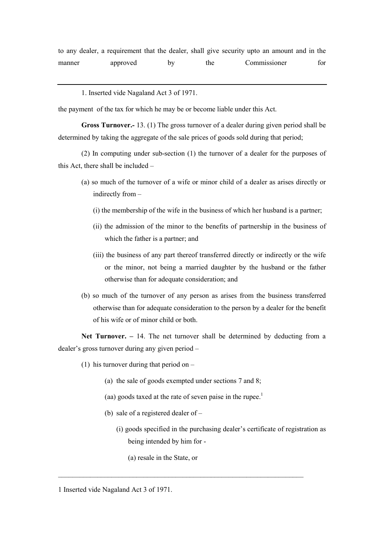1. Inserted vide Nagaland Act 3 of 1971.

the payment of the tax for which he may be or become liable under this Act.

Gross Turnover.- 13. (1) The gross turnover of a dealer during given period shall be determined by taking the aggregate of the sale prices of goods sold during that period;

(2) In computing under sub-section (1) the turnover of a dealer for the purposes of this Act, there shall be included –

- (a) so much of the turnover of a wife or minor child of a dealer as arises directly or indirectly from –
	- (i) the membership of the wife in the business of which her husband is a partner;
	- (ii) the admission of the minor to the benefits of partnership in the business of which the father is a partner; and
	- (iii) the business of any part thereof transferred directly or indirectly or the wife or the minor, not being a married daughter by the husband or the father otherwise than for adequate consideration; and
- (b) so much of the turnover of any person as arises from the business transferred otherwise than for adequate consideration to the person by a dealer for the benefit of his wife or of minor child or both.

Net Turnover. – 14. The net turnover shall be determined by deducting from a dealer's gross turnover during any given period –

- (1) his turnover during that period on  $-$ 
	- (a) the sale of goods exempted under sections 7 and 8;
	- (aa) goods taxed at the rate of seven paise in the rupee.<sup>1</sup>

 $\_$  , and the contribution of the contribution of  $\mathcal{L}_\mathcal{A}$  , and the contribution of  $\mathcal{L}_\mathcal{A}$ 

- (b) sale of a registered dealer of
	- (i) goods specified in the purchasing dealer's certificate of registration as being intended by him for -
		- (a) resale in the State, or

<sup>1</sup> Inserted vide Nagaland Act 3 of 1971.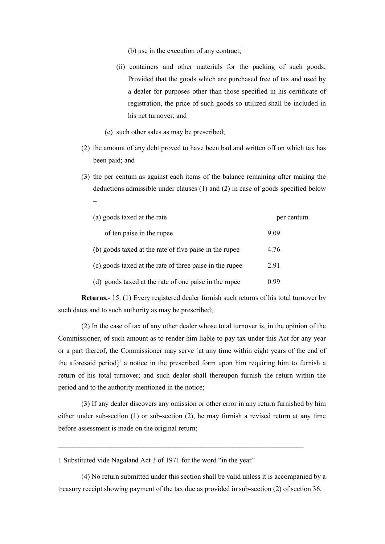(b) use in the execution of any contract,

- (ii) containers and other materials for the packing of such goods; Provided that the goods which are purchased free of tax and used by a dealer for purposes other than those specified in his certificate of registration, the price of such goods so utilized shall be included in his net turnover; and
- (c) such other sales as may be prescribed;

–

- (2) the amount of any debt proved to have been bad and written off on which tax has been paid; and
- (3) the per centum as against each items of the balance remaining after making the deductions admissible under clauses (1) and (2) in case of goods specified below

| (a) goods taxed at the rate                             | per centum |
|---------------------------------------------------------|------------|
| of ten paise in the rupee                               | 9.09       |
| (b) goods taxed at the rate of five paise in the rupee  | 4.76       |
| (c) goods taxed at the rate of three paise in the rupee | 2.91       |
| (d) goods taxed at the rate of one paise in the rupee   | 0.99       |

Returns.- 15. (1) Every registered dealer furnish such returns of his total turnover by such dates and to such authority as may be prescribed;

(2) In the case of tax of any other dealer whose total turnover is, in the opinion of the Commissioner, of such amount as to render him liable to pay tax under this Act for any year or a part thereof, the Commissioner may serve [at any time within eight years of the end of the aforesaid period]<sup>1</sup> a notice in the prescribed form upon him requiring him to furnish a return of his total turnover; and such dealer shall thereupon furnish the return within the period and to the authority mentioned in the notice;

(3) If any dealer discovers any omission or other error in any return furnished by him either under sub-section (1) or sub-section (2), he may furnish a revised return at any time before assessment is made on the original return;

 $\mathcal{L}_\text{max} = \frac{1}{2} \sum_{i=1}^n \mathcal{L}_\text{max}(\mathbf{x}_i - \mathbf{y}_i)$ 

1 Substituted vide Nagaland Act 3 of 1971 for the word "in the year"

(4) No return submitted under this section shall be valid unless it is accompanied by a treasury receipt showing payment of the tax due as provided in sub-section (2) of section 36.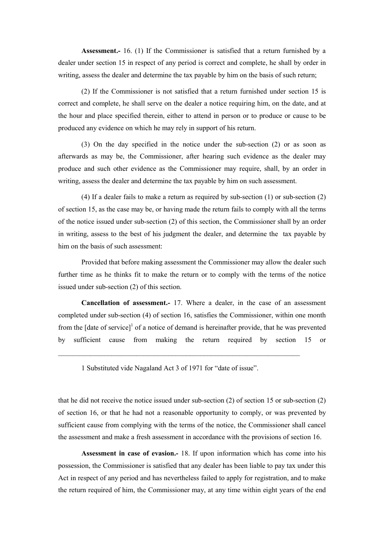Assessment.- 16. (1) If the Commissioner is satisfied that a return furnished by a dealer under section 15 in respect of any period is correct and complete, he shall by order in writing, assess the dealer and determine the tax payable by him on the basis of such return;

(2) If the Commissioner is not satisfied that a return furnished under section 15 is correct and complete, he shall serve on the dealer a notice requiring him, on the date, and at the hour and place specified therein, either to attend in person or to produce or cause to be produced any evidence on which he may rely in support of his return.

(3) On the day specified in the notice under the sub-section (2) or as soon as afterwards as may be, the Commissioner, after hearing such evidence as the dealer may produce and such other evidence as the Commissioner may require, shall, by an order in writing, assess the dealer and determine the tax payable by him on such assessment.

(4) If a dealer fails to make a return as required by sub-section (1) or sub-section (2) of section 15, as the case may be, or having made the return fails to comply with all the terms of the notice issued under sub-section (2) of this section, the Commissioner shall by an order in writing, assess to the best of his judgment the dealer, and determine the tax payable by him on the basis of such assessment:

Provided that before making assessment the Commissioner may allow the dealer such further time as he thinks fit to make the return or to comply with the terms of the notice issued under sub-section (2) of this section.

Cancellation of assessment.- 17. Where a dealer, in the case of an assessment completed under sub-section (4) of section 16, satisfies the Commissioner, within one month from the  $[date\ of\ service]^1$  of a notice of demand is hereinafter provide, that he was prevented by sufficient cause from making the return required by section 15 or

1 Substituted vide Nagaland Act 3 of 1971 for "date of issue".

 $\mathcal{L}_\text{max} = \mathcal{L}_\text{max} = \mathcal{L}_\text{max} = \mathcal{L}_\text{max} = \mathcal{L}_\text{max} = \mathcal{L}_\text{max} = \mathcal{L}_\text{max} = \mathcal{L}_\text{max} = \mathcal{L}_\text{max} = \mathcal{L}_\text{max} = \mathcal{L}_\text{max} = \mathcal{L}_\text{max} = \mathcal{L}_\text{max} = \mathcal{L}_\text{max} = \mathcal{L}_\text{max} = \mathcal{L}_\text{max} = \mathcal{L}_\text{max} = \mathcal{L}_\text{max} = \mathcal{$ 

that he did not receive the notice issued under sub-section (2) of section 15 or sub-section (2) of section 16, or that he had not a reasonable opportunity to comply, or was prevented by sufficient cause from complying with the terms of the notice, the Commissioner shall cancel the assessment and make a fresh assessment in accordance with the provisions of section 16.

Assessment in case of evasion.- 18. If upon information which has come into his possession, the Commissioner is satisfied that any dealer has been liable to pay tax under this Act in respect of any period and has nevertheless failed to apply for registration, and to make the return required of him, the Commissioner may, at any time within eight years of the end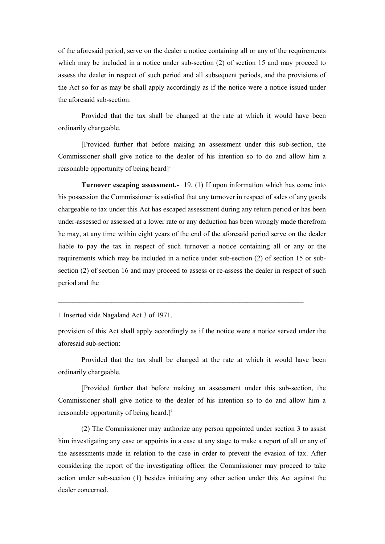of the aforesaid period, serve on the dealer a notice containing all or any of the requirements which may be included in a notice under sub-section (2) of section 15 and may proceed to assess the dealer in respect of such period and all subsequent periods, and the provisions of the Act so for as may be shall apply accordingly as if the notice were a notice issued under the aforesaid sub-section:

Provided that the tax shall be charged at the rate at which it would have been ordinarily chargeable.

[Provided further that before making an assessment under this sub-section, the Commissioner shall give notice to the dealer of his intention so to do and allow him a reasonable opportunity of being heard $]^{1}$ 

Turnover escaping assessment.- 19. (1) If upon information which has come into his possession the Commissioner is satisfied that any turnover in respect of sales of any goods chargeable to tax under this Act has escaped assessment during any return period or has been under-assessed or assessed at a lower rate or any deduction has been wrongly made therefrom he may, at any time within eight years of the end of the aforesaid period serve on the dealer liable to pay the tax in respect of such turnover a notice containing all or any or the requirements which may be included in a notice under sub-section (2) of section 15 or subsection (2) of section 16 and may proceed to assess or re-assess the dealer in respect of such period and the

1 Inserted vide Nagaland Act 3 of 1971.

provision of this Act shall apply accordingly as if the notice were a notice served under the aforesaid sub-section:

 $\_$  , and the contribution of the contribution of  $\mathcal{L}_\mathcal{A}$  , and the contribution of  $\mathcal{L}_\mathcal{A}$ 

Provided that the tax shall be charged at the rate at which it would have been ordinarily chargeable.

[Provided further that before making an assessment under this sub-section, the Commissioner shall give notice to the dealer of his intention so to do and allow him a reasonable opportunity of being heard.]<sup>1</sup>

(2) The Commissioner may authorize any person appointed under section 3 to assist him investigating any case or appoints in a case at any stage to make a report of all or any of the assessments made in relation to the case in order to prevent the evasion of tax. After considering the report of the investigating officer the Commissioner may proceed to take action under sub-section (1) besides initiating any other action under this Act against the dealer concerned.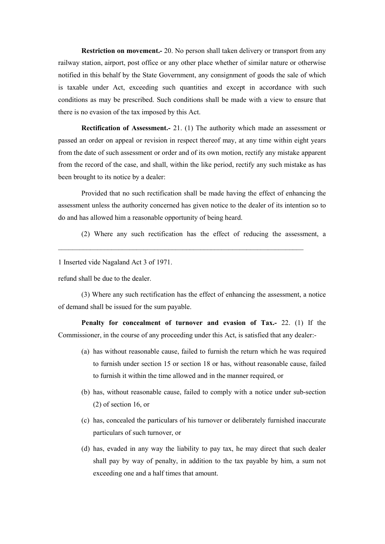**Restriction on movement.-** 20. No person shall taken delivery or transport from any railway station, airport, post office or any other place whether of similar nature or otherwise notified in this behalf by the State Government, any consignment of goods the sale of which is taxable under Act, exceeding such quantities and except in accordance with such conditions as may be prescribed. Such conditions shall be made with a view to ensure that there is no evasion of the tax imposed by this Act.

Rectification of Assessment.- 21. (1) The authority which made an assessment or passed an order on appeal or revision in respect thereof may, at any time within eight years from the date of such assessment or order and of its own motion, rectify any mistake apparent from the record of the case, and shall, within the like period, rectify any such mistake as has been brought to its notice by a dealer:

Provided that no such rectification shall be made having the effect of enhancing the assessment unless the authority concerned has given notice to the dealer of its intention so to do and has allowed him a reasonable opportunity of being heard.

 $\mathcal{L}_\text{max} = \frac{1}{2} \sum_{i=1}^n \mathcal{L}_\text{max}(\mathbf{x}_i - \mathbf{y}_i)$ 

(2) Where any such rectification has the effect of reducing the assessment, a

1 Inserted vide Nagaland Act 3 of 1971.

refund shall be due to the dealer.

(3) Where any such rectification has the effect of enhancing the assessment, a notice of demand shall be issued for the sum payable.

Penalty for concealment of turnover and evasion of Tax.- 22. (1) If the Commissioner, in the course of any proceeding under this Act, is satisfied that any dealer:-

- (a) has without reasonable cause, failed to furnish the return which he was required to furnish under section 15 or section 18 or has, without reasonable cause, failed to furnish it within the time allowed and in the manner required, or
- (b) has, without reasonable cause, failed to comply with a notice under sub-section (2) of section 16, or
- (c) has, concealed the particulars of his turnover or deliberately furnished inaccurate particulars of such turnover, or
- (d) has, evaded in any way the liability to pay tax, he may direct that such dealer shall pay by way of penalty, in addition to the tax payable by him, a sum not exceeding one and a half times that amount.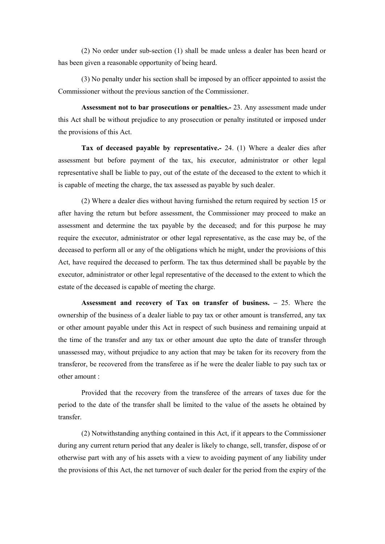(2) No order under sub-section (1) shall be made unless a dealer has been heard or has been given a reasonable opportunity of being heard.

(3) No penalty under his section shall be imposed by an officer appointed to assist the Commissioner without the previous sanction of the Commissioner.

Assessment not to bar prosecutions or penalties.- 23. Any assessment made under this Act shall be without prejudice to any prosecution or penalty instituted or imposed under the provisions of this Act.

Tax of deceased payable by representative.- 24. (1) Where a dealer dies after assessment but before payment of the tax, his executor, administrator or other legal representative shall be liable to pay, out of the estate of the deceased to the extent to which it is capable of meeting the charge, the tax assessed as payable by such dealer.

(2) Where a dealer dies without having furnished the return required by section 15 or after having the return but before assessment, the Commissioner may proceed to make an assessment and determine the tax payable by the deceased; and for this purpose he may require the executor, administrator or other legal representative, as the case may be, of the deceased to perform all or any of the obligations which he might, under the provisions of this Act, have required the deceased to perform. The tax thus determined shall be payable by the executor, administrator or other legal representative of the deceased to the extent to which the estate of the deceased is capable of meeting the charge.

Assessment and recovery of Tax on transfer of business. – 25. Where the ownership of the business of a dealer liable to pay tax or other amount is transferred, any tax or other amount payable under this Act in respect of such business and remaining unpaid at the time of the transfer and any tax or other amount due upto the date of transfer through unassessed may, without prejudice to any action that may be taken for its recovery from the transferor, be recovered from the transferee as if he were the dealer liable to pay such tax or other amount :

Provided that the recovery from the transferee of the arrears of taxes due for the period to the date of the transfer shall be limited to the value of the assets he obtained by transfer.

(2) Notwithstanding anything contained in this Act, if it appears to the Commissioner during any current return period that any dealer is likely to change, sell, transfer, dispose of or otherwise part with any of his assets with a view to avoiding payment of any liability under the provisions of this Act, the net turnover of such dealer for the period from the expiry of the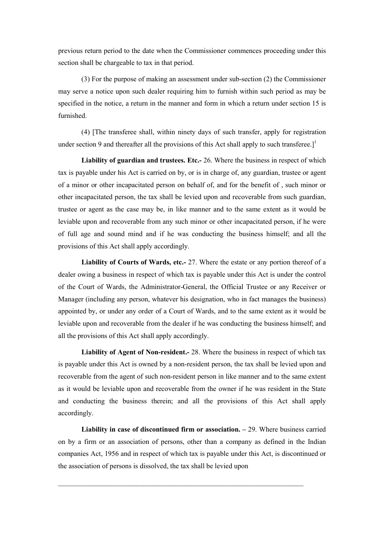previous return period to the date when the Commissioner commences proceeding under this section shall be chargeable to tax in that period.

(3) For the purpose of making an assessment under sub-section (2) the Commissioner may serve a notice upon such dealer requiring him to furnish within such period as may be specified in the notice, a return in the manner and form in which a return under section 15 is furnished.

(4) [The transferee shall, within ninety days of such transfer, apply for registration under section 9 and thereafter all the provisions of this Act shall apply to such transferee.<sup>1</sup>

Liability of guardian and trustees. Etc.- 26. Where the business in respect of which tax is payable under his Act is carried on by, or is in charge of, any guardian, trustee or agent of a minor or other incapacitated person on behalf of, and for the benefit of , such minor or other incapacitated person, the tax shall be levied upon and recoverable from such guardian, trustee or agent as the case may be, in like manner and to the same extent as it would be leviable upon and recoverable from any such minor or other incapacitated person, if he were of full age and sound mind and if he was conducting the business himself; and all the provisions of this Act shall apply accordingly.

Liability of Courts of Wards, etc.- 27. Where the estate or any portion thereof of a dealer owing a business in respect of which tax is payable under this Act is under the control of the Court of Wards, the Administrator-General, the Official Trustee or any Receiver or Manager (including any person, whatever his designation, who in fact manages the business) appointed by, or under any order of a Court of Wards, and to the same extent as it would be leviable upon and recoverable from the dealer if he was conducting the business himself; and all the provisions of this Act shall apply accordingly.

Liability of Agent of Non-resident.- 28. Where the business in respect of which tax is payable under this Act is owned by a non-resident person, the tax shall be levied upon and recoverable from the agent of such non-resident person in like manner and to the same extent as it would be leviable upon and recoverable from the owner if he was resident in the State and conducting the business therein; and all the provisions of this Act shall apply accordingly.

**Liability in case of discontinued firm or association.**  $-29$ . Where business carried on by a firm or an association of persons, other than a company as defined in the Indian companies Act, 1956 and in respect of which tax is payable under this Act, is discontinued or the association of persons is dissolved, the tax shall be levied upon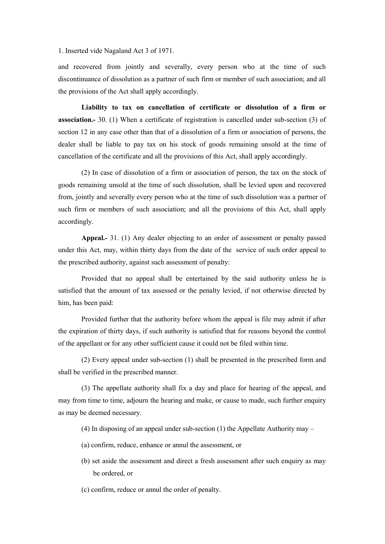1. Inserted vide Nagaland Act 3 of 1971.

and recovered from jointly and severally, every person who at the time of such discontinuance of dissolution as a partner of such firm or member of such association; and all the provisions of the Act shall apply accordingly.

Liability to tax on cancellation of certificate or dissolution of a firm or association.- 30. (1) When a certificate of registration is cancelled under sub-section (3) of section 12 in any case other than that of a dissolution of a firm or association of persons, the dealer shall be liable to pay tax on his stock of goods remaining unsold at the time of cancellation of the certificate and all the provisions of this Act, shall apply accordingly.

(2) In case of dissolution of a firm or association of person, the tax on the stock of goods remaining unsold at the time of such dissolution, shall be levied upon and recovered from, jointly and severally every person who at the time of such dissolution was a partner of such firm or members of such association; and all the provisions of this Act, shall apply accordingly.

Appeal.- 31. (1) Any dealer objecting to an order of assessment or penalty passed under this Act, may, within thirty days from the date of the service of such order appeal to the prescribed authority, against such assessment of penalty:

Provided that no appeal shall be entertained by the said authority unless he is satisfied that the amount of tax assessed or the penalty levied, if not otherwise directed by him, has been paid:

Provided further that the authority before whom the appeal is file may admit if after the expiration of thirty days, if such authority is satisfied that for reasons beyond the control of the appellant or for any other sufficient cause it could not be filed within time.

(2) Every appeal under sub-section (1) shall be presented in the prescribed form and shall be verified in the prescribed manner.

(3) The appellate authority shall fix a day and place for hearing of the appeal, and may from time to time, adjourn the hearing and make, or cause to made, such further enquiry as may be deemed necessary.

(4) In disposing of an appeal under sub-section (1) the Appellate Authority may –

- (a) confirm, reduce, enhance or annul the assessment, or
- (b) set aside the assessment and direct a fresh assessment after such enquiry as may be ordered, or
- (c) confirm, reduce or annul the order of penalty.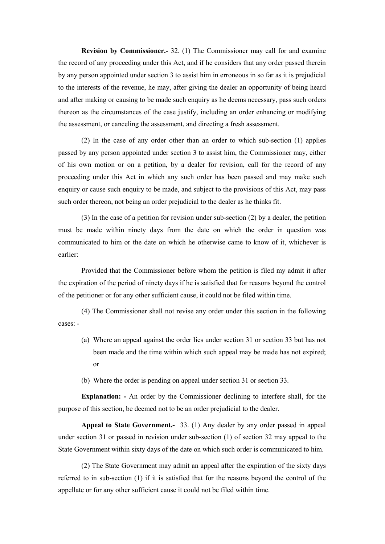Revision by Commissioner.- 32. (1) The Commissioner may call for and examine the record of any proceeding under this Act, and if he considers that any order passed therein by any person appointed under section 3 to assist him in erroneous in so far as it is prejudicial to the interests of the revenue, he may, after giving the dealer an opportunity of being heard and after making or causing to be made such enquiry as he deems necessary, pass such orders thereon as the circumstances of the case justify, including an order enhancing or modifying the assessment, or canceling the assessment, and directing a fresh assessment.

(2) In the case of any order other than an order to which sub-section (1) applies passed by any person appointed under section 3 to assist him, the Commissioner may, either of his own motion or on a petition, by a dealer for revision, call for the record of any proceeding under this Act in which any such order has been passed and may make such enquiry or cause such enquiry to be made, and subject to the provisions of this Act, may pass such order thereon, not being an order prejudicial to the dealer as he thinks fit.

(3) In the case of a petition for revision under sub-section (2) by a dealer, the petition must be made within ninety days from the date on which the order in question was communicated to him or the date on which he otherwise came to know of it, whichever is earlier:

Provided that the Commissioner before whom the petition is filed my admit it after the expiration of the period of ninety days if he is satisfied that for reasons beyond the control of the petitioner or for any other sufficient cause, it could not be filed within time.

(4) The Commissioner shall not revise any order under this section in the following cases: -

- (a) Where an appeal against the order lies under section 31 or section 33 but has not been made and the time within which such appeal may be made has not expired; or
- (b) Where the order is pending on appeal under section 31 or section 33.

Explanation: - An order by the Commissioner declining to interfere shall, for the purpose of this section, be deemed not to be an order prejudicial to the dealer.

Appeal to State Government.- 33. (1) Any dealer by any order passed in appeal under section 31 or passed in revision under sub-section (1) of section 32 may appeal to the State Government within sixty days of the date on which such order is communicated to him.

(2) The State Government may admit an appeal after the expiration of the sixty days referred to in sub-section (1) if it is satisfied that for the reasons beyond the control of the appellate or for any other sufficient cause it could not be filed within time.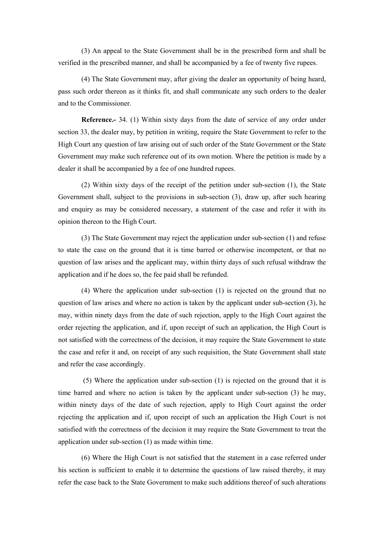(3) An appeal to the State Government shall be in the prescribed form and shall be verified in the prescribed manner, and shall be accompanied by a fee of twenty five rupees.

(4) The State Government may, after giving the dealer an opportunity of being heard, pass such order thereon as it thinks fit, and shall communicate any such orders to the dealer and to the Commissioner.

Reference.- 34. (1) Within sixty days from the date of service of any order under section 33, the dealer may, by petition in writing, require the State Government to refer to the High Court any question of law arising out of such order of the State Government or the State Government may make such reference out of its own motion. Where the petition is made by a dealer it shall be accompanied by a fee of one hundred rupees.

(2) Within sixty days of the receipt of the petition under sub-section (1), the State Government shall, subject to the provisions in sub-section (3), draw up, after such hearing and enquiry as may be considered necessary, a statement of the case and refer it with its opinion thereon to the High Court.

(3) The State Government may reject the application under sub-section (1) and refuse to state the case on the ground that it is time barred or otherwise incompetent, or that no question of law arises and the applicant may, within thirty days of such refusal withdraw the application and if he does so, the fee paid shall be refunded.

(4) Where the application under sub-section (1) is rejected on the ground that no question of law arises and where no action is taken by the applicant under sub-section  $(3)$ , he may, within ninety days from the date of such rejection, apply to the High Court against the order rejecting the application, and if, upon receipt of such an application, the High Court is not satisfied with the correctness of the decision, it may require the State Government to state the case and refer it and, on receipt of any such requisition, the State Government shall state and refer the case accordingly.

 (5) Where the application under sub-section (1) is rejected on the ground that it is time barred and where no action is taken by the applicant under sub-section (3) he may, within ninety days of the date of such rejection, apply to High Court against the order rejecting the application and if, upon receipt of such an application the High Court is not satisfied with the correctness of the decision it may require the State Government to treat the application under sub-section (1) as made within time.

(6) Where the High Court is not satisfied that the statement in a case referred under his section is sufficient to enable it to determine the questions of law raised thereby, it may refer the case back to the State Government to make such additions thereof of such alterations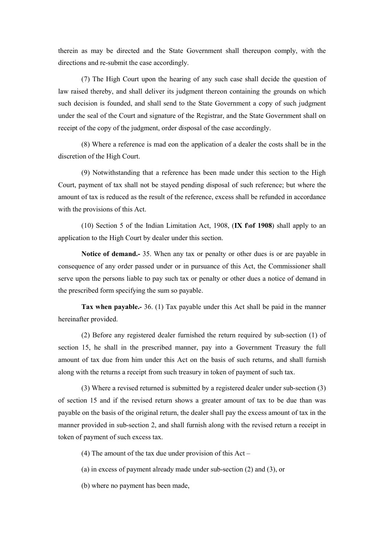therein as may be directed and the State Government shall thereupon comply, with the directions and re-submit the case accordingly.

(7) The High Court upon the hearing of any such case shall decide the question of law raised thereby, and shall deliver its judgment thereon containing the grounds on which such decision is founded, and shall send to the State Government a copy of such judgment under the seal of the Court and signature of the Registrar, and the State Government shall on receipt of the copy of the judgment, order disposal of the case accordingly.

(8) Where a reference is mad eon the application of a dealer the costs shall be in the discretion of the High Court.

(9) Notwithstanding that a reference has been made under this section to the High Court, payment of tax shall not be stayed pending disposal of such reference; but where the amount of tax is reduced as the result of the reference, excess shall be refunded in accordance with the provisions of this Act.

(10) Section 5 of the Indian Limitation Act, 1908, (IX f\of 1908) shall apply to an application to the High Court by dealer under this section.

Notice of demand.- 35. When any tax or penalty or other dues is or are payable in consequence of any order passed under or in pursuance of this Act, the Commissioner shall serve upon the persons liable to pay such tax or penalty or other dues a notice of demand in the prescribed form specifying the sum so payable.

Tax when payable.- 36. (1) Tax payable under this Act shall be paid in the manner hereinafter provided.

(2) Before any registered dealer furnished the return required by sub-section (1) of section 15, he shall in the prescribed manner, pay into a Government Treasury the full amount of tax due from him under this Act on the basis of such returns, and shall furnish along with the returns a receipt from such treasury in token of payment of such tax.

(3) Where a revised returned is submitted by a registered dealer under sub-section (3) of section 15 and if the revised return shows a greater amount of tax to be due than was payable on the basis of the original return, the dealer shall pay the excess amount of tax in the manner provided in sub-section 2, and shall furnish along with the revised return a receipt in token of payment of such excess tax.

(4) The amount of the tax due under provision of this Act –

(a) in excess of payment already made under sub-section (2) and (3), or

(b) where no payment has been made,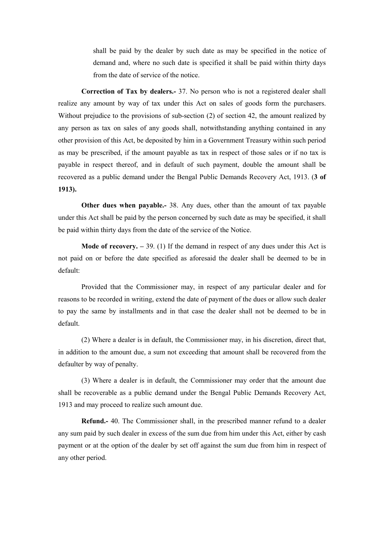shall be paid by the dealer by such date as may be specified in the notice of demand and, where no such date is specified it shall be paid within thirty days from the date of service of the notice.

Correction of Tax by dealers.- 37. No person who is not a registered dealer shall realize any amount by way of tax under this Act on sales of goods form the purchasers. Without prejudice to the provisions of sub-section (2) of section 42, the amount realized by any person as tax on sales of any goods shall, notwithstanding anything contained in any other provision of this Act, be deposited by him in a Government Treasury within such period as may be prescribed, if the amount payable as tax in respect of those sales or if no tax is payable in respect thereof, and in default of such payment, double the amount shall be recovered as a public demand under the Bengal Public Demands Recovery Act, 1913. (3 of 1913).

Other dues when payable.- 38. Any dues, other than the amount of tax payable under this Act shall be paid by the person concerned by such date as may be specified, it shall be paid within thirty days from the date of the service of the Notice.

**Mode of recovery.**  $-39$ . (1) If the demand in respect of any dues under this Act is not paid on or before the date specified as aforesaid the dealer shall be deemed to be in default:

Provided that the Commissioner may, in respect of any particular dealer and for reasons to be recorded in writing, extend the date of payment of the dues or allow such dealer to pay the same by installments and in that case the dealer shall not be deemed to be in default.

(2) Where a dealer is in default, the Commissioner may, in his discretion, direct that, in addition to the amount due, a sum not exceeding that amount shall be recovered from the defaulter by way of penalty.

(3) Where a dealer is in default, the Commissioner may order that the amount due shall be recoverable as a public demand under the Bengal Public Demands Recovery Act, 1913 and may proceed to realize such amount due.

Refund.- 40. The Commissioner shall, in the prescribed manner refund to a dealer any sum paid by such dealer in excess of the sum due from him under this Act, either by cash payment or at the option of the dealer by set off against the sum due from him in respect of any other period.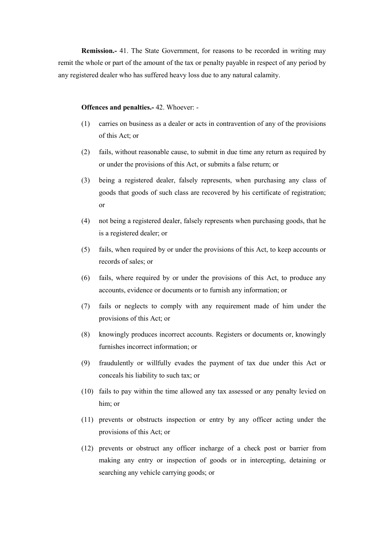Remission.- 41. The State Government, for reasons to be recorded in writing may remit the whole or part of the amount of the tax or penalty payable in respect of any period by any registered dealer who has suffered heavy loss due to any natural calamity.

#### Offences and penalties.- 42. Whoever: -

- (1) carries on business as a dealer or acts in contravention of any of the provisions of this Act; or
- (2) fails, without reasonable cause, to submit in due time any return as required by or under the provisions of this Act, or submits a false return; or
- (3) being a registered dealer, falsely represents, when purchasing any class of goods that goods of such class are recovered by his certificate of registration; or
- (4) not being a registered dealer, falsely represents when purchasing goods, that he is a registered dealer; or
- (5) fails, when required by or under the provisions of this Act, to keep accounts or records of sales; or
- (6) fails, where required by or under the provisions of this Act, to produce any accounts, evidence or documents or to furnish any information; or
- (7) fails or neglects to comply with any requirement made of him under the provisions of this Act; or
- (8) knowingly produces incorrect accounts. Registers or documents or, knowingly furnishes incorrect information; or
- (9) fraudulently or willfully evades the payment of tax due under this Act or conceals his liability to such tax; or
- (10) fails to pay within the time allowed any tax assessed or any penalty levied on him; or
- (11) prevents or obstructs inspection or entry by any officer acting under the provisions of this Act; or
- (12) prevents or obstruct any officer incharge of a check post or barrier from making any entry or inspection of goods or in intercepting, detaining or searching any vehicle carrying goods; or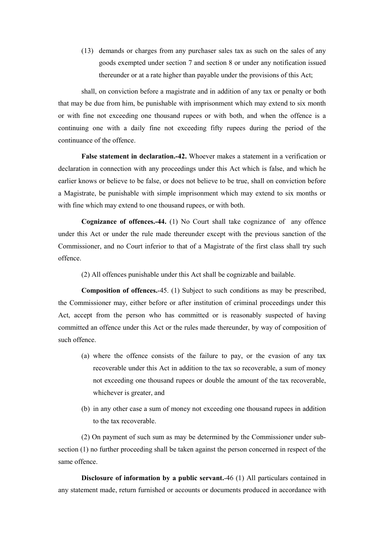(13) demands or charges from any purchaser sales tax as such on the sales of any goods exempted under section 7 and section 8 or under any notification issued thereunder or at a rate higher than payable under the provisions of this Act;

shall, on conviction before a magistrate and in addition of any tax or penalty or both that may be due from him, be punishable with imprisonment which may extend to six month or with fine not exceeding one thousand rupees or with both, and when the offence is a continuing one with a daily fine not exceeding fifty rupees during the period of the continuance of the offence.

False statement in declaration.-42. Whoever makes a statement in a verification or declaration in connection with any proceedings under this Act which is false, and which he earlier knows or believe to be false, or does not believe to be true, shall on conviction before a Magistrate, be punishable with simple imprisonment which may extend to six months or with fine which may extend to one thousand rupees, or with both.

Cognizance of offences.-44. (1) No Court shall take cognizance of any offence under this Act or under the rule made thereunder except with the previous sanction of the Commissioner, and no Court inferior to that of a Magistrate of the first class shall try such offence.

(2) All offences punishable under this Act shall be cognizable and bailable.

Composition of offences.-45. (1) Subject to such conditions as may be prescribed, the Commissioner may, either before or after institution of criminal proceedings under this Act, accept from the person who has committed or is reasonably suspected of having committed an offence under this Act or the rules made thereunder, by way of composition of such offence.

- (a) where the offence consists of the failure to pay, or the evasion of any tax recoverable under this Act in addition to the tax so recoverable, a sum of money not exceeding one thousand rupees or double the amount of the tax recoverable, whichever is greater, and
- (b) in any other case a sum of money not exceeding one thousand rupees in addition to the tax recoverable.

(2) On payment of such sum as may be determined by the Commissioner under subsection (1) no further proceeding shall be taken against the person concerned in respect of the same offence.

Disclosure of information by a public servant.-46 (1) All particulars contained in any statement made, return furnished or accounts or documents produced in accordance with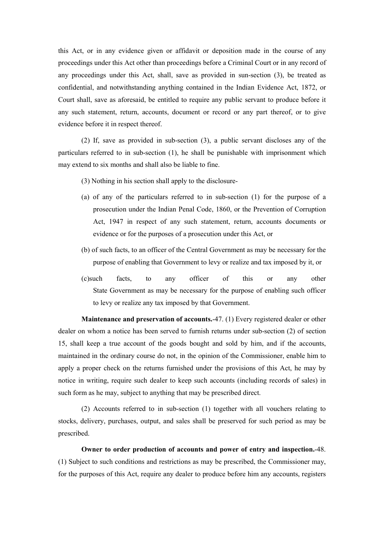this Act, or in any evidence given or affidavit or deposition made in the course of any proceedings under this Act other than proceedings before a Criminal Court or in any record of any proceedings under this Act, shall, save as provided in sun-section (3), be treated as confidential, and notwithstanding anything contained in the Indian Evidence Act, 1872, or Court shall, save as aforesaid, be entitled to require any public servant to produce before it any such statement, return, accounts, document or record or any part thereof, or to give evidence before it in respect thereof.

(2) If, save as provided in sub-section (3), a public servant discloses any of the particulars referred to in sub-section (1), he shall be punishable with imprisonment which may extend to six months and shall also be liable to fine.

- (3) Nothing in his section shall apply to the disclosure-
- (a) of any of the particulars referred to in sub-section (1) for the purpose of a prosecution under the Indian Penal Code, 1860, or the Prevention of Corruption Act, 1947 in respect of any such statement, return, accounts documents or evidence or for the purposes of a prosecution under this Act, or
- (b) of such facts, to an officer of the Central Government as may be necessary for the purpose of enabling that Government to levy or realize and tax imposed by it, or
- (c)such facts, to any officer of this or any other State Government as may be necessary for the purpose of enabling such officer to levy or realize any tax imposed by that Government.

Maintenance and preservation of accounts.-47. (1) Every registered dealer or other dealer on whom a notice has been served to furnish returns under sub-section (2) of section 15, shall keep a true account of the goods bought and sold by him, and if the accounts, maintained in the ordinary course do not, in the opinion of the Commissioner, enable him to apply a proper check on the returns furnished under the provisions of this Act, he may by notice in writing, require such dealer to keep such accounts (including records of sales) in such form as he may, subject to anything that may be prescribed direct.

(2) Accounts referred to in sub-section (1) together with all vouchers relating to stocks, delivery, purchases, output, and sales shall be preserved for such period as may be prescribed.

Owner to order production of accounts and power of entry and inspection.-48. (1) Subject to such conditions and restrictions as may be prescribed, the Commissioner may, for the purposes of this Act, require any dealer to produce before him any accounts, registers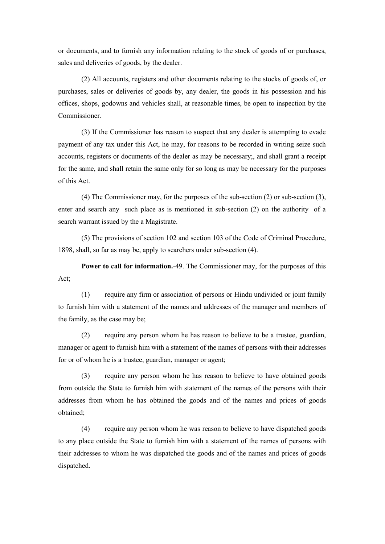or documents, and to furnish any information relating to the stock of goods of or purchases, sales and deliveries of goods, by the dealer.

(2) All accounts, registers and other documents relating to the stocks of goods of, or purchases, sales or deliveries of goods by, any dealer, the goods in his possession and his offices, shops, godowns and vehicles shall, at reasonable times, be open to inspection by the Commissioner.

(3) If the Commissioner has reason to suspect that any dealer is attempting to evade payment of any tax under this Act, he may, for reasons to be recorded in writing seize such accounts, registers or documents of the dealer as may be necessary;, and shall grant a receipt for the same, and shall retain the same only for so long as may be necessary for the purposes of this Act.

(4) The Commissioner may, for the purposes of the sub-section (2) or sub-section (3), enter and search any such place as is mentioned in sub-section (2) on the authority of a search warrant issued by the a Magistrate.

(5) The provisions of section 102 and section 103 of the Code of Criminal Procedure, 1898, shall, so far as may be, apply to searchers under sub-section (4).

Power to call for information.-49. The Commissioner may, for the purposes of this Act;

(1) require any firm or association of persons or Hindu undivided or joint family to furnish him with a statement of the names and addresses of the manager and members of the family, as the case may be;

(2) require any person whom he has reason to believe to be a trustee, guardian, manager or agent to furnish him with a statement of the names of persons with their addresses for or of whom he is a trustee, guardian, manager or agent;

(3) require any person whom he has reason to believe to have obtained goods from outside the State to furnish him with statement of the names of the persons with their addresses from whom he has obtained the goods and of the names and prices of goods obtained;

(4) require any person whom he was reason to believe to have dispatched goods to any place outside the State to furnish him with a statement of the names of persons with their addresses to whom he was dispatched the goods and of the names and prices of goods dispatched.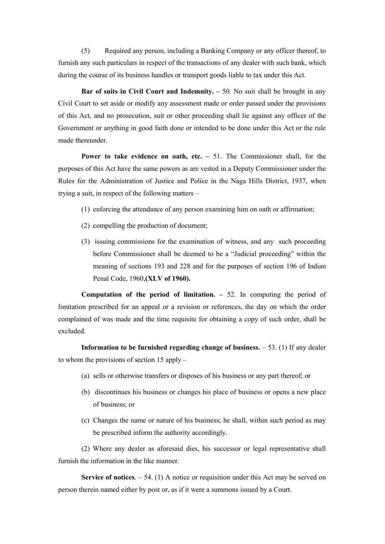(5) Required any person, including a Banking Company or any officer thereof, to furnish any such particulars in respect of the transactions of any dealer with such bank, which during the course of its business handles or transport goods liable to tax under this Act.

Bar of suits in Civil Court and Indemnity.  $-50$ . No suit shall be brought in any Civil Court to set aside or modify any assessment made or order passed under the provisions of this Act, and no prosecution, suit or other proceeding shall lie against any officer of the Government or anything in good faith done or intended to be done under this Act or the rule made thereunder.

Power to take evidence on oath, etc. – 51. The Commissioner shall, for the purposes of this Act have the same powers as are vested in a Deputy Commissioner under the Rules for the Administration of Justice and Police in the Naga Hills District, 1937, when trying a suit, in respect of the following matters –

- (1) enforcing the attendance of any person examining him on oath or affirmation;
- (2) compelling the production of document;
- (3) issuing commissions for the examination of witness, and any such proceeding before Commissioner shall be deemed to be a "Judicial proceeding" within the meaning of sections 193 and 228 and for the purposes of section 196 of Indian Penal Code, 1960,(XLV of 1960).

Computation of the period of limitation.  $-52$ . In computing the period of limitation prescribed for an appeal or a revision or references, the day on which the order complained of was made and the time requisite for obtaining a copy of such order, shall be excluded.

Information to be furnished regarding change of business.  $-53$ . (1) If any dealer to whom the provisions of section 15 apply –

- (a) sells or otherwise transfers or disposes of his business or any part thereof; or
- (b) discontinues his business or changes his place of business or opens a new place of business; or
- (c) Changes the name or nature of his business; he shall, within such period as may be prescribed inform the authority accordingly.

(2) Where any dealer as aforesaid dies, his successor or legal representative shall furnish the information in the like manner.

Service of notices.  $-54$ . (1) A notice or requisition under this Act may be served on person therein named either by post or, as if it were a summons issued by a Court.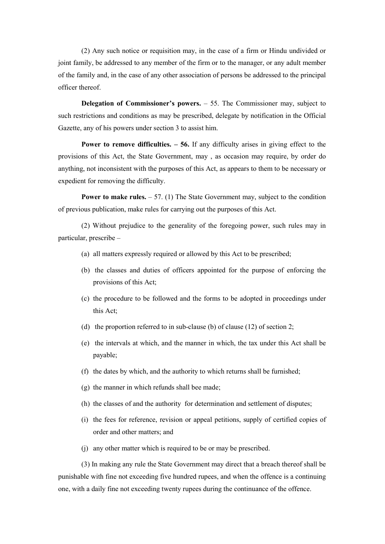(2) Any such notice or requisition may, in the case of a firm or Hindu undivided or joint family, be addressed to any member of the firm or to the manager, or any adult member of the family and, in the case of any other association of persons be addressed to the principal officer thereof.

Delegation of Commissioner's powers. – 55. The Commissioner may, subject to such restrictions and conditions as may be prescribed, delegate by notification in the Official Gazette, any of his powers under section 3 to assist him.

**Power to remove difficulties.**  $-56$ . If any difficulty arises in giving effect to the provisions of this Act, the State Government, may , as occasion may require, by order do anything, not inconsistent with the purposes of this Act, as appears to them to be necessary or expedient for removing the difficulty.

**Power to make rules.**  $-57$ . (1) The State Government may, subject to the condition of previous publication, make rules for carrying out the purposes of this Act.

(2) Without prejudice to the generality of the foregoing power, such rules may in particular, prescribe –

- (a) all matters expressly required or allowed by this Act to be prescribed;
- (b) the classes and duties of officers appointed for the purpose of enforcing the provisions of this Act;
- (c) the procedure to be followed and the forms to be adopted in proceedings under this Act;
- (d) the proportion referred to in sub-clause (b) of clause (12) of section 2;
- (e) the intervals at which, and the manner in which, the tax under this Act shall be payable;
- (f) the dates by which, and the authority to which returns shall be furnished;
- (g) the manner in which refunds shall bee made;
- (h) the classes of and the authority for determination and settlement of disputes;
- (i) the fees for reference, revision or appeal petitions, supply of certified copies of order and other matters; and
- (j) any other matter which is required to be or may be prescribed.

(3) In making any rule the State Government may direct that a breach thereof shall be punishable with fine not exceeding five hundred rupees, and when the offence is a continuing one, with a daily fine not exceeding twenty rupees during the continuance of the offence.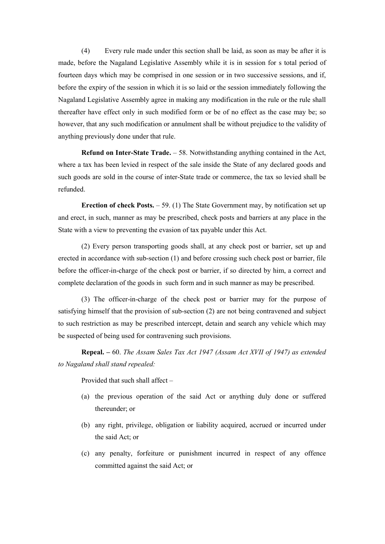(4) Every rule made under this section shall be laid, as soon as may be after it is made, before the Nagaland Legislative Assembly while it is in session for s total period of fourteen days which may be comprised in one session or in two successive sessions, and if, before the expiry of the session in which it is so laid or the session immediately following the Nagaland Legislative Assembly agree in making any modification in the rule or the rule shall thereafter have effect only in such modified form or be of no effect as the case may be; so however, that any such modification or annulment shall be without prejudice to the validity of anything previously done under that rule.

**Refund on Inter-State Trade.**  $-58$ . Notwithstanding anything contained in the Act, where a tax has been levied in respect of the sale inside the State of any declared goods and such goods are sold in the course of inter-State trade or commerce, the tax so levied shall be refunded.

Erection of check Posts. – 59. (1) The State Government may, by notification set up and erect, in such, manner as may be prescribed, check posts and barriers at any place in the State with a view to preventing the evasion of tax payable under this Act.

(2) Every person transporting goods shall, at any check post or barrier, set up and erected in accordance with sub-section (1) and before crossing such check post or barrier, file before the officer-in-charge of the check post or barrier, if so directed by him, a correct and complete declaration of the goods in such form and in such manner as may be prescribed.

(3) The officer-in-charge of the check post or barrier may for the purpose of satisfying himself that the provision of sub-section (2) are not being contravened and subject to such restriction as may be prescribed intercept, detain and search any vehicle which may be suspected of being used for contravening such provisions.

Repeal. – 60. The Assam Sales Tax Act 1947 (Assam Act XVII of 1947) as extended to Nagaland shall stand repealed:

Provided that such shall affect –

- (a) the previous operation of the said Act or anything duly done or suffered thereunder; or
- (b) any right, privilege, obligation or liability acquired, accrued or incurred under the said Act; or
- (c) any penalty, forfeiture or punishment incurred in respect of any offence committed against the said Act; or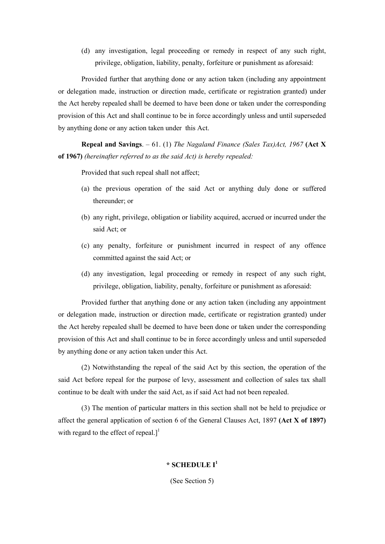(d) any investigation, legal proceeding or remedy in respect of any such right, privilege, obligation, liability, penalty, forfeiture or punishment as aforesaid:

Provided further that anything done or any action taken (including any appointment or delegation made, instruction or direction made, certificate or registration granted) under the Act hereby repealed shall be deemed to have been done or taken under the corresponding provision of this Act and shall continue to be in force accordingly unless and until superseded by anything done or any action taken under this Act.

Repeal and Savings. – 61. (1) The Nagaland Finance (Sales Tax)Act, 1967 (Act X of 1967) (hereinafter referred to as the said Act) is hereby repealed:

Provided that such repeal shall not affect;

- (a) the previous operation of the said Act or anything duly done or suffered thereunder; or
- (b) any right, privilege, obligation or liability acquired, accrued or incurred under the said Act; or
- (c) any penalty, forfeiture or punishment incurred in respect of any offence committed against the said Act; or
- (d) any investigation, legal proceeding or remedy in respect of any such right, privilege, obligation, liability, penalty, forfeiture or punishment as aforesaid:

Provided further that anything done or any action taken (including any appointment or delegation made, instruction or direction made, certificate or registration granted) under the Act hereby repealed shall be deemed to have been done or taken under the corresponding provision of this Act and shall continue to be in force accordingly unless and until superseded by anything done or any action taken under this Act.

(2) Notwithstanding the repeal of the said Act by this section, the operation of the said Act before repeal for the purpose of levy, assessment and collection of sales tax shall continue to be dealt with under the said Act, as if said Act had not been repealed.

(3) The mention of particular matters in this section shall not be held to prejudice or affect the general application of section 6 of the General Clauses Act, 1897 (Act X of 1897) with regard to the effect of repeal.]<sup>1</sup>

# $*$  SCHEDULE I<sup>1</sup>

(See Section 5)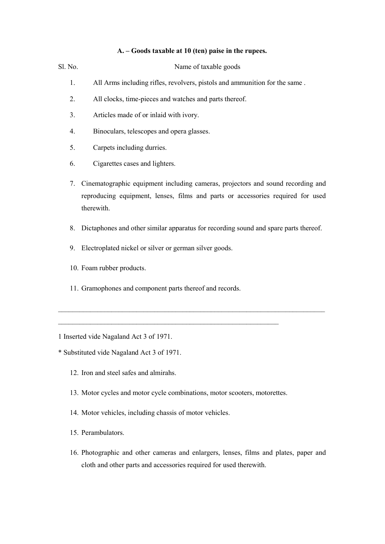## A. – Goods taxable at 10 (ten) paise in the rupees.

| Sl. No. | Name of taxable goods                                                                                                                                                            |
|---------|----------------------------------------------------------------------------------------------------------------------------------------------------------------------------------|
| 1.      | All Arms including rifles, revolvers, pistols and ammunition for the same.                                                                                                       |
| 2.      | All clocks, time-pieces and watches and parts thereof.                                                                                                                           |
| 3.      | Articles made of or inlaid with ivory.                                                                                                                                           |
| 4.      | Binoculars, telescopes and opera glasses.                                                                                                                                        |
| 5.      | Carpets including durries.                                                                                                                                                       |
| 6.      | Cigarettes cases and lighters.                                                                                                                                                   |
| 7.      | Cinematographic equipment including cameras, projectors and sound recording and<br>reproducing equipment, lenses, films and parts or accessories required for used<br>therewith. |
| 8.      | Dictaphones and other similar apparatus for recording sound and spare parts thereof.                                                                                             |
| 9.      | Electroplated nickel or silver or german silver goods.                                                                                                                           |
|         |                                                                                                                                                                                  |

- 10. Foam rubber products.
- 11. Gramophones and component parts thereof and records.

 $\mathcal{L}_\text{max}$  and the contract of the contract of the contract of the contract of the contract of the contract of

1 Inserted vide Nagaland Act 3 of 1971.

- \* Substituted vide Nagaland Act 3 of 1971.
	- 12. Iron and steel safes and almirahs.
	- 13. Motor cycles and motor cycle combinations, motor scooters, motorettes.

 $\mathcal{L}_\text{max} = \frac{1}{2} \sum_{i=1}^n \mathcal{L}_\text{max} = \frac{1}{2} \sum_{i=1}^n \mathcal{L}_\text{max} = \frac{1}{2} \sum_{i=1}^n \mathcal{L}_\text{max} = \frac{1}{2} \sum_{i=1}^n \mathcal{L}_\text{max} = \frac{1}{2} \sum_{i=1}^n \mathcal{L}_\text{max} = \frac{1}{2} \sum_{i=1}^n \mathcal{L}_\text{max} = \frac{1}{2} \sum_{i=1}^n \mathcal{L}_\text{max} = \frac{1}{2} \sum_{i=$ 

- 14. Motor vehicles, including chassis of motor vehicles.
- 15. Perambulators.
- 16. Photographic and other cameras and enlargers, lenses, films and plates, paper and cloth and other parts and accessories required for used therewith.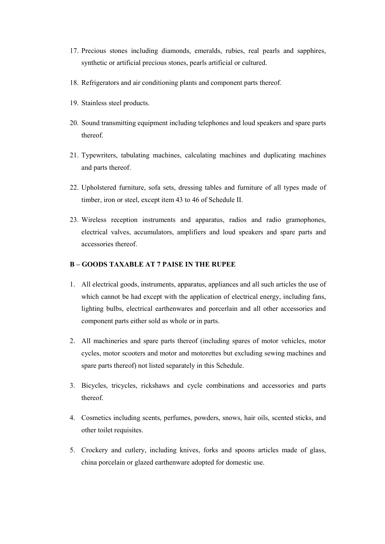- 17. Precious stones including diamonds, emeralds, rubies, real pearls and sapphires, synthetic or artificial precious stones, pearls artificial or cultured.
- 18. Refrigerators and air conditioning plants and component parts thereof.
- 19. Stainless steel products.
- 20. Sound transmitting equipment including telephones and loud speakers and spare parts thereof.
- 21. Typewriters, tabulating machines, calculating machines and duplicating machines and parts thereof.
- 22. Upholstered furniture, sofa sets, dressing tables and furniture of all types made of timber, iron or steel, except item 43 to 46 of Schedule II.
- 23. Wireless reception instruments and apparatus, radios and radio gramophones, electrical valves, accumulators, amplifiers and loud speakers and spare parts and accessories thereof.

## B – GOODS TAXABLE AT 7 PAISE IN THE RUPEE

- 1. All electrical goods, instruments, apparatus, appliances and all such articles the use of which cannot be had except with the application of electrical energy, including fans, lighting bulbs, electrical earthenwares and porcerlain and all other accessories and component parts either sold as whole or in parts.
- 2. All machineries and spare parts thereof (including spares of motor vehicles, motor cycles, motor scooters and motor and motorettes but excluding sewing machines and spare parts thereof) not listed separately in this Schedule.
- 3. Bicycles, tricycles, rickshaws and cycle combinations and accessories and parts thereof.
- 4. Cosmetics including scents, perfumes, powders, snows, hair oils, scented sticks, and other toilet requisites.
- 5. Crockery and cutlery, including knives, forks and spoons articles made of glass, china porcelain or glazed earthenware adopted for domestic use.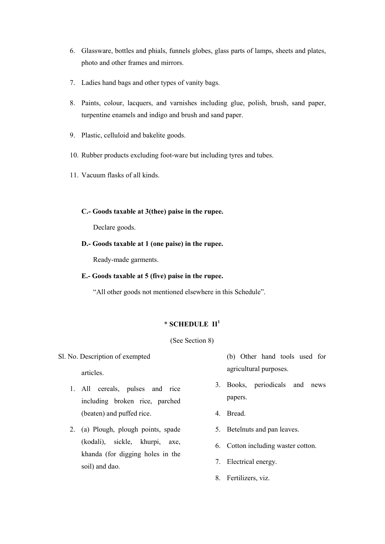- 6. Glassware, bottles and phials, funnels globes, glass parts of lamps, sheets and plates, photo and other frames and mirrors.
- 7. Ladies hand bags and other types of vanity bags.
- 8. Paints, colour, lacquers, and varnishes including glue, polish, brush, sand paper, turpentine enamels and indigo and brush and sand paper.
- 9. Plastic, celluloid and bakelite goods.
- 10. Rubber products excluding foot-ware but including tyres and tubes.
- 11. Vacuum flasks of all kinds.
	- C.- Goods taxable at 3(thee) paise in the rupee.

Declare goods.

D.- Goods taxable at 1 (one paise) in the rupee.

Ready-made garments.

E.- Goods taxable at 5 (five) paise in the rupee.

"All other goods not mentioned elsewhere in this Schedule".

## \* SCHEDULE II<sup>1</sup>

(See Section 8)

Sl. No. Description of exempted

articles.

- 1. All cereals, pulses and rice including broken rice, parched (beaten) and puffed rice.
- 2. (a) Plough, plough points, spade (kodali), sickle, khurpi, axe, khanda (for digging holes in the soil) and dao.

(b) Other hand tools used for agricultural purposes.

- 3. Books, periodicals and news papers.
- 4. Bread.
- 5. Betelnuts and pan leaves.
- 6. Cotton including waster cotton.
- 7. Electrical energy.
- 8. Fertilizers, viz.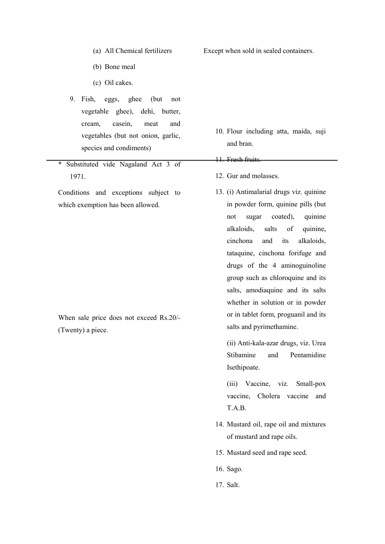- (a) All Chemical fertilizers
- (b) Bone meal
- (c) Oil cakes.
- 9. Fish, eggs, ghee (but not vegetable ghee), dehi, butter, cream, casein, meat and vegetables (but not onion, garlic, species and condiments)
- \* Substituted vide Nagaland Act 3 of 1971.

Conditions and exceptions subject to which exemption has been allowed.

When sale price does not exceed Rs.20/- (Twenty) a piece.

Except when sold in sealed containers.

- 10. Flour including atta, maida, suji and bran.
- 11. Fresh fruits.
- 12. Gur and molasses.
- 13. (i) Antimalarial drugs viz. quinine in powder form, quinine pills (but not sugar coated), quinine alkaloids, salts of quinine, cinchona and its alkaloids, tataquine, cinchona forifuge and drugs of the 4 aminoguinoline group such as chloroquine and its salts, amodiaquine and its salts whether in solution or in powder or in tablet form, proguanil and its salts and pyrimethamine.

(ii) Anti-kala-azar drugs, viz. Urea Stibamine and Pentamidine Isethipoate.

- (iii) Vaccine, viz. Small-pox vaccine, Cholera vaccine and T.A.B.
- 14. Mustard oil, rape oil and mixtures of mustard and rape oils.
- 15. Mustard seed and rape seed.
- 16. Sago.
- 17. Salt.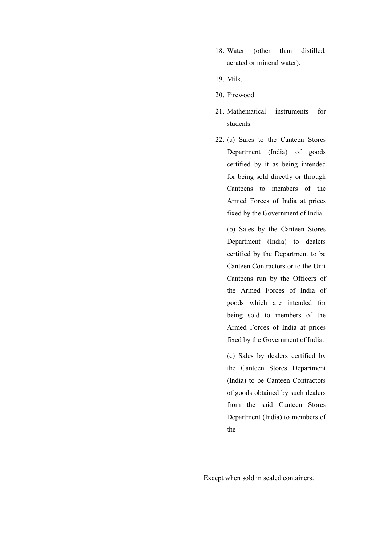- 18. Water (other than distilled, aerated or mineral water).
- 19. Milk.
- 20. Firewood.
- 21. Mathematical instruments for students.
- 22. (a) Sales to the Canteen Stores Department (India) of goods certified by it as being intended for being sold directly or through Canteens to members of the Armed Forces of India at prices fixed by the Government of India.

(b) Sales by the Canteen Stores Department (India) to dealers certified by the Department to be Canteen Contractors or to the Unit Canteens run by the Officers of the Armed Forces of India of goods which are intended for being sold to members of the Armed Forces of India at prices fixed by the Government of India.

(c) Sales by dealers certified by the Canteen Stores Department (India) to be Canteen Contractors of goods obtained by such dealers from the said Canteen Stores Department (India) to members of the

Except when sold in sealed containers.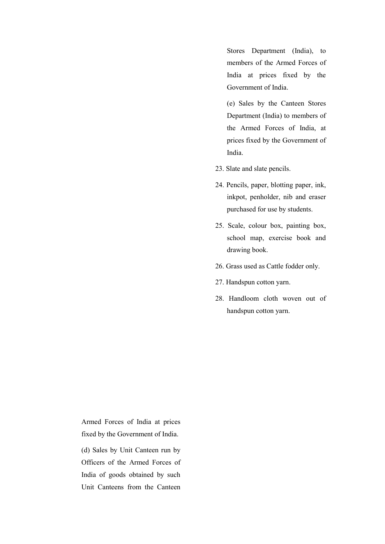Stores Department (India), to members of the Armed Forces of India at prices fixed by the Government of India.

(e) Sales by the Canteen Stores Department (India) to members of the Armed Forces of India, at prices fixed by the Government of India.

- 23. Slate and slate pencils.
- 24. Pencils, paper, blotting paper, ink, inkpot, penholder, nib and eraser purchased for use by students.
- 25. Scale, colour box, painting box, school map, exercise book and drawing book.
- 26. Grass used as Cattle fodder only.
- 27. Handspun cotton yarn.
- 28. Handloom cloth woven out of handspun cotton yarn.

Armed Forces of India at prices fixed by the Government of India.

(d) Sales by Unit Canteen run by Officers of the Armed Forces of India of goods obtained by such Unit Canteens from the Canteen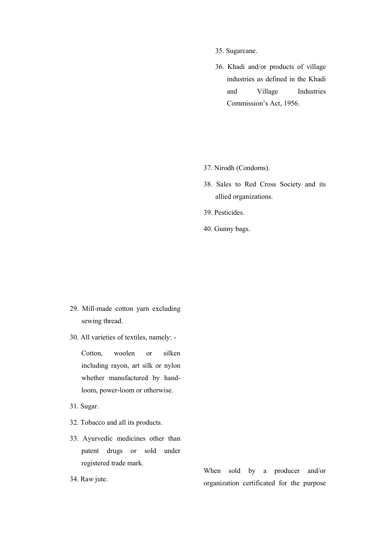- 35. Sugarcane.
- 36. Khadi and/or products of village industries as defined in the Khadi and Village Industries Commission's Act, 1956.

- 37. Nirodh (Condoms).
- 38. Sales to Red Cross Society and its allied organizations.
- 39. Pesticides.
- 40. Gunny bags.

- 29. Mill-made cotton yarn excluding sewing thread.
- 30. All varieties of textiles, namely: -

 Cotton, woolen or silken including rayon, art silk or nylon whether manufactured by handloom, power-loom or otherwise.

- 31. Sugar.
- 32. Tobacco and all its products.
- 33. Ayurvedic medicines other than patent drugs or sold under registered trade mark.
- 34. Raw jute.

When sold by a producer and/or organization certificated for the purpose